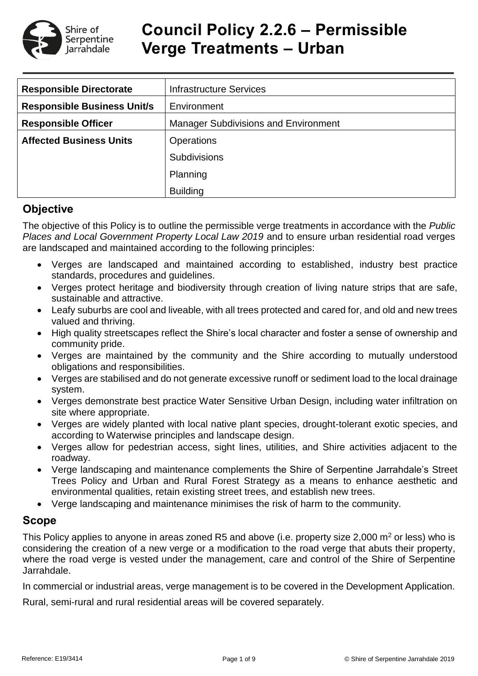

# **Council Policy 2.2.6 – Permissible Verge Treatments – Urban**

| <b>Responsible Directorate</b>     | <b>Infrastructure Services</b>              |  |  |  |
|------------------------------------|---------------------------------------------|--|--|--|
| <b>Responsible Business Unit/s</b> | Environment                                 |  |  |  |
| <b>Responsible Officer</b>         | <b>Manager Subdivisions and Environment</b> |  |  |  |
| <b>Affected Business Units</b>     | <b>Operations</b>                           |  |  |  |
|                                    | <b>Subdivisions</b>                         |  |  |  |
|                                    | Planning                                    |  |  |  |
|                                    | <b>Building</b>                             |  |  |  |

# **Objective**

The objective of this Policy is to outline the permissible verge treatments in accordance with the *Public Places and Local Government Property Local Law 2019* and to ensure urban residential road verges are landscaped and maintained according to the following principles:

- Verges are landscaped and maintained according to established, industry best practice standards, procedures and guidelines.
- Verges protect heritage and biodiversity through creation of living nature strips that are safe, sustainable and attractive.
- Leafy suburbs are cool and liveable, with all trees protected and cared for, and old and new trees valued and thriving.
- High quality streetscapes reflect the Shire's local character and foster a sense of ownership and community pride.
- Verges are maintained by the community and the Shire according to mutually understood obligations and responsibilities.
- Verges are stabilised and do not generate excessive runoff or sediment load to the local drainage system.
- Verges demonstrate best practice Water Sensitive Urban Design, including water infiltration on site where appropriate.
- Verges are widely planted with local native plant species, drought-tolerant exotic species, and according to Waterwise principles and landscape design.
- Verges allow for pedestrian access, sight lines, utilities, and Shire activities adjacent to the roadway.
- Verge landscaping and maintenance complements the Shire of Serpentine Jarrahdale's Street Trees Policy and Urban and Rural Forest Strategy as a means to enhance aesthetic and environmental qualities, retain existing street trees, and establish new trees.
- Verge landscaping and maintenance minimises the risk of harm to the community.

# **Scope**

This Policy applies to anyone in areas zoned R5 and above (i.e. property size 2,000  $m<sup>2</sup>$  or less) who is considering the creation of a new verge or a modification to the road verge that abuts their property, where the road verge is vested under the management, care and control of the Shire of Serpentine Jarrahdale.

In commercial or industrial areas, verge management is to be covered in the Development Application.

Rural, semi-rural and rural residential areas will be covered separately.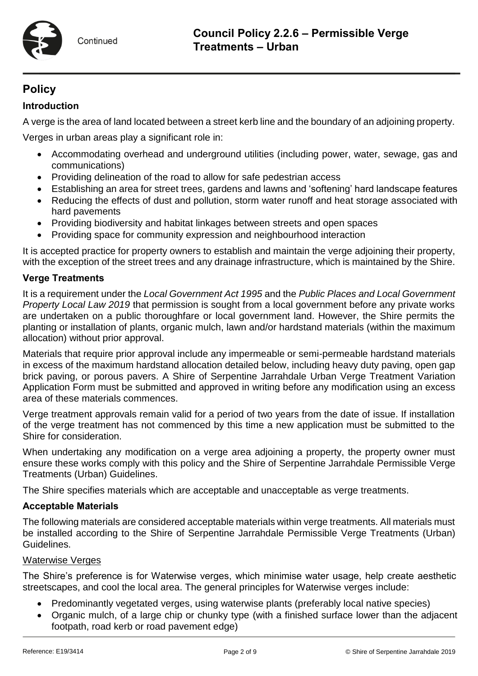

# **Policy**

# **Introduction**

A verge is the area of land located between a street kerb line and the boundary of an adjoining property.

Verges in urban areas play a significant role in:

- Accommodating overhead and underground utilities (including power, water, sewage, gas and communications)
- Providing delineation of the road to allow for safe pedestrian access
- Establishing an area for street trees, gardens and lawns and 'softening' hard landscape features
- Reducing the effects of dust and pollution, storm water runoff and heat storage associated with hard pavements
- Providing biodiversity and habitat linkages between streets and open spaces
- Providing space for community expression and neighbourhood interaction

It is accepted practice for property owners to establish and maintain the verge adjoining their property, with the exception of the street trees and any drainage infrastructure, which is maintained by the Shire.

## **Verge Treatments**

It is a requirement under the *Local Government Act 1995* and the *Public Places and Local Government Property Local Law 2019* that permission is sought from a local government before any private works are undertaken on a public thoroughfare or local government land. However, the Shire permits the planting or installation of plants, organic mulch, lawn and/or hardstand materials (within the maximum allocation) without prior approval.

Materials that require prior approval include any impermeable or semi-permeable hardstand materials in excess of the maximum hardstand allocation detailed below, including heavy duty paving, open gap brick paving, or porous pavers. A Shire of Serpentine Jarrahdale Urban Verge Treatment Variation Application Form must be submitted and approved in writing before any modification using an excess area of these materials commences.

Verge treatment approvals remain valid for a period of two years from the date of issue. If installation of the verge treatment has not commenced by this time a new application must be submitted to the Shire for consideration.

When undertaking any modification on a verge area adjoining a property, the property owner must ensure these works comply with this policy and the Shire of Serpentine Jarrahdale Permissible Verge Treatments (Urban) Guidelines.

The Shire specifies materials which are acceptable and unacceptable as verge treatments.

## **Acceptable Materials**

The following materials are considered acceptable materials within verge treatments. All materials must be installed according to the Shire of Serpentine Jarrahdale Permissible Verge Treatments (Urban) Guidelines.

## Waterwise Verges

The Shire's preference is for Waterwise verges, which minimise water usage, help create aesthetic streetscapes, and cool the local area. The general principles for Waterwise verges include:

- Predominantly vegetated verges, using waterwise plants (preferably local native species)
- Organic mulch, of a large chip or chunky type (with a finished surface lower than the adjacent footpath, road kerb or road pavement edge)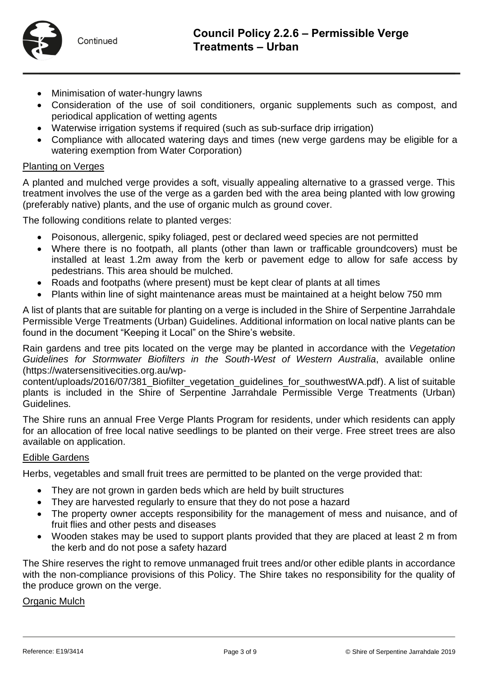

- Minimisation of water-hungry lawns
- Consideration of the use of soil conditioners, organic supplements such as compost, and periodical application of wetting agents
- Waterwise irrigation systems if required (such as sub-surface drip irrigation)
- Compliance with allocated watering days and times (new verge gardens may be eligible for a watering exemption from Water Corporation)

#### Planting on Verges

A planted and mulched verge provides a soft, visually appealing alternative to a grassed verge. This treatment involves the use of the verge as a garden bed with the area being planted with low growing (preferably native) plants, and the use of organic mulch as ground cover.

The following conditions relate to planted verges:

- Poisonous, allergenic, spiky foliaged, pest or declared weed species are not permitted
- Where there is no footpath, all plants (other than lawn or trafficable groundcovers) must be installed at least 1.2m away from the kerb or pavement edge to allow for safe access by pedestrians. This area should be mulched.
- Roads and footpaths (where present) must be kept clear of plants at all times
- Plants within line of sight maintenance areas must be maintained at a height below 750 mm

A list of plants that are suitable for planting on a verge is included in the Shire of Serpentine Jarrahdale Permissible Verge Treatments (Urban) Guidelines. Additional information on local native plants can be found in the document "Keeping it Local" on the Shire's website.

Rain gardens and tree pits located on the verge may be planted in accordance with the *Vegetation Guidelines for Stormwater Biofilters in the South-West of Western Australia*, available online [\(https://watersensitivecities.org.au/wp-](https://watersensitivecities.org.au/wp-content/uploads/2016/07/381_Biofilter_vegetation_guidelines_for_southwestWA.pdf)

[content/uploads/2016/07/381\\_Biofilter\\_vegetation\\_guidelines\\_for\\_southwestWA.pdf\)](https://watersensitivecities.org.au/wp-content/uploads/2016/07/381_Biofilter_vegetation_guidelines_for_southwestWA.pdf). A list of suitable plants is included in the Shire of Serpentine Jarrahdale Permissible Verge Treatments (Urban) Guidelines.

The Shire runs an annual Free Verge Plants Program for residents, under which residents can apply for an allocation of free local native seedlings to be planted on their verge. Free street trees are also available on application.

#### Edible Gardens

Herbs, vegetables and small fruit trees are permitted to be planted on the verge provided that:

- They are not grown in garden beds which are held by built structures
- They are harvested regularly to ensure that they do not pose a hazard
- The property owner accepts responsibility for the management of mess and nuisance, and of fruit flies and other pests and diseases
- Wooden stakes may be used to support plants provided that they are placed at least 2 m from the kerb and do not pose a safety hazard

The Shire reserves the right to remove unmanaged fruit trees and/or other edible plants in accordance with the non-compliance provisions of this Policy. The Shire takes no responsibility for the quality of the produce grown on the verge.

#### Organic Mulch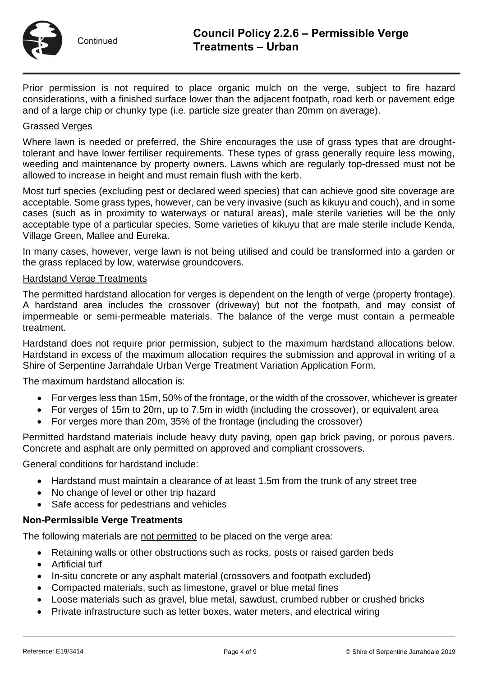

Prior permission is not required to place organic mulch on the verge, subject to fire hazard considerations, with a finished surface lower than the adjacent footpath, road kerb or pavement edge and of a large chip or chunky type (i.e. particle size greater than 20mm on average).

#### Grassed Verges

Where lawn is needed or preferred, the Shire encourages the use of grass types that are droughttolerant and have lower fertiliser requirements. These types of grass generally require less mowing, weeding and maintenance by property owners. Lawns which are regularly top-dressed must not be allowed to increase in height and must remain flush with the kerb.

Most turf species (excluding pest or declared weed species) that can achieve good site coverage are acceptable. Some grass types, however, can be very invasive (such as kikuyu and couch), and in some cases (such as in proximity to waterways or natural areas), male sterile varieties will be the only acceptable type of a particular species. Some varieties of kikuyu that are male sterile include Kenda, Village Green, Mallee and Eureka.

In many cases, however, verge lawn is not being utilised and could be transformed into a garden or the grass replaced by low, waterwise groundcovers.

#### Hardstand Verge Treatments

The permitted hardstand allocation for verges is dependent on the length of verge (property frontage). A hardstand area includes the crossover (driveway) but not the footpath, and may consist of impermeable or semi-permeable materials. The balance of the verge must contain a permeable treatment.

Hardstand does not require prior permission, subject to the maximum hardstand allocations below. Hardstand in excess of the maximum allocation requires the submission and approval in writing of a Shire of Serpentine Jarrahdale Urban Verge Treatment Variation Application Form.

The maximum hardstand allocation is:

- For verges less than 15m, 50% of the frontage, or the width of the crossover, whichever is greater
- For verges of 15m to 20m, up to 7.5m in width (including the crossover), or equivalent area
- For verges more than 20m, 35% of the frontage (including the crossover)

Permitted hardstand materials include heavy duty paving, open gap brick paving, or porous pavers. Concrete and asphalt are only permitted on approved and compliant crossovers.

General conditions for hardstand include:

- Hardstand must maintain a clearance of at least 1.5m from the trunk of any street tree
- No change of level or other trip hazard
- Safe access for pedestrians and vehicles

#### **Non-Permissible Verge Treatments**

The following materials are not permitted to be placed on the verge area:

- Retaining walls or other obstructions such as rocks, posts or raised garden beds
- Artificial turf
- In-situ concrete or any asphalt material (crossovers and footpath excluded)
- Compacted materials, such as limestone, gravel or blue metal fines
- Loose materials such as gravel, blue metal, sawdust, crumbed rubber or crushed bricks
- Private infrastructure such as letter boxes, water meters, and electrical wiring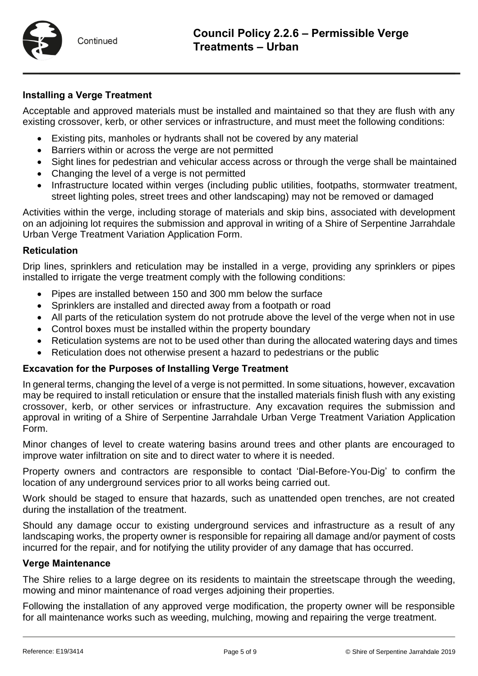

#### **Installing a Verge Treatment**

Acceptable and approved materials must be installed and maintained so that they are flush with any existing crossover, kerb, or other services or infrastructure, and must meet the following conditions:

- Existing pits, manholes or hydrants shall not be covered by any material
- Barriers within or across the verge are not permitted
- Sight lines for pedestrian and vehicular access across or through the verge shall be maintained
- Changing the level of a verge is not permitted
- Infrastructure located within verges (including public utilities, footpaths, stormwater treatment, street lighting poles, street trees and other landscaping) may not be removed or damaged

Activities within the verge, including storage of materials and skip bins, associated with development on an adjoining lot requires the submission and approval in writing of a Shire of Serpentine Jarrahdale Urban Verge Treatment Variation Application Form.

#### **Reticulation**

Drip lines, sprinklers and reticulation may be installed in a verge, providing any sprinklers or pipes installed to irrigate the verge treatment comply with the following conditions:

- Pipes are installed between 150 and 300 mm below the surface
- Sprinklers are installed and directed away from a footpath or road
- All parts of the reticulation system do not protrude above the level of the verge when not in use
- Control boxes must be installed within the property boundary
- Reticulation systems are not to be used other than during the allocated watering days and times
- Reticulation does not otherwise present a hazard to pedestrians or the public

#### **Excavation for the Purposes of Installing Verge Treatment**

In general terms, changing the level of a verge is not permitted. In some situations, however, excavation may be required to install reticulation or ensure that the installed materials finish flush with any existing crossover, kerb, or other services or infrastructure. Any excavation requires the submission and approval in writing of a Shire of Serpentine Jarrahdale Urban Verge Treatment Variation Application Form.

Minor changes of level to create watering basins around trees and other plants are encouraged to improve water infiltration on site and to direct water to where it is needed.

Property owners and contractors are responsible to contact 'Dial-Before-You-Dig' to confirm the location of any underground services prior to all works being carried out.

Work should be staged to ensure that hazards, such as unattended open trenches, are not created during the installation of the treatment.

Should any damage occur to existing underground services and infrastructure as a result of any landscaping works, the property owner is responsible for repairing all damage and/or payment of costs incurred for the repair, and for notifying the utility provider of any damage that has occurred.

#### **Verge Maintenance**

The Shire relies to a large degree on its residents to maintain the streetscape through the weeding, mowing and minor maintenance of road verges adjoining their properties.

Following the installation of any approved verge modification, the property owner will be responsible for all maintenance works such as weeding, mulching, mowing and repairing the verge treatment.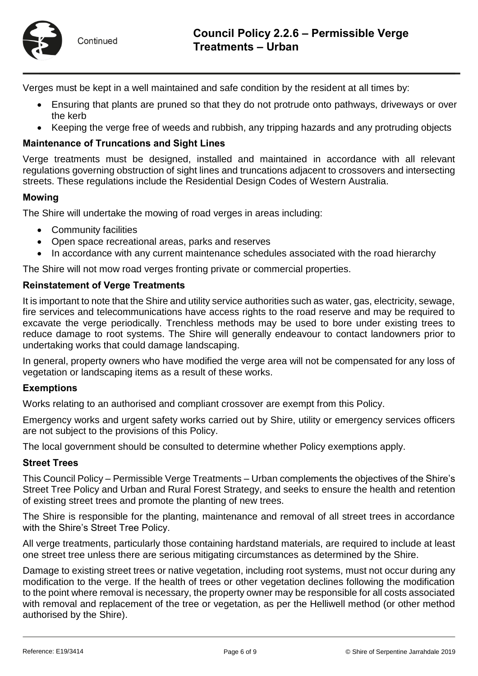

Verges must be kept in a well maintained and safe condition by the resident at all times by:

- Ensuring that plants are pruned so that they do not protrude onto pathways, driveways or over the kerb
- Keeping the verge free of weeds and rubbish, any tripping hazards and any protruding objects

#### **Maintenance of Truncations and Sight Lines**

Verge treatments must be designed, installed and maintained in accordance with all relevant regulations governing obstruction of sight lines and truncations adjacent to crossovers and intersecting streets. These regulations include the Residential Design Codes of Western Australia.

#### **Mowing**

The Shire will undertake the mowing of road verges in areas including:

- Community facilities
- Open space recreational areas, parks and reserves
- In accordance with any current maintenance schedules associated with the road hierarchy

The Shire will not mow road verges fronting private or commercial properties.

#### **Reinstatement of Verge Treatments**

It is important to note that the Shire and utility service authorities such as water, gas, electricity, sewage, fire services and telecommunications have access rights to the road reserve and may be required to excavate the verge periodically. Trenchless methods may be used to bore under existing trees to reduce damage to root systems. The Shire will generally endeavour to contact landowners prior to undertaking works that could damage landscaping.

In general, property owners who have modified the verge area will not be compensated for any loss of vegetation or landscaping items as a result of these works.

#### **Exemptions**

Works relating to an authorised and compliant crossover are exempt from this Policy.

Emergency works and urgent safety works carried out by Shire, utility or emergency services officers are not subject to the provisions of this Policy.

The local government should be consulted to determine whether Policy exemptions apply.

#### **Street Trees**

This Council Policy – Permissible Verge Treatments – Urban complements the objectives of the Shire's Street Tree Policy and Urban and Rural Forest Strategy, and seeks to ensure the health and retention of existing street trees and promote the planting of new trees.

The Shire is responsible for the planting, maintenance and removal of all street trees in accordance with the Shire's Street Tree Policy.

All verge treatments, particularly those containing hardstand materials, are required to include at least one street tree unless there are serious mitigating circumstances as determined by the Shire.

Damage to existing street trees or native vegetation, including root systems, must not occur during any modification to the verge. If the health of trees or other vegetation declines following the modification to the point where removal is necessary, the property owner may be responsible for all costs associated with removal and replacement of the tree or vegetation, as per the Helliwell method (or other method authorised by the Shire).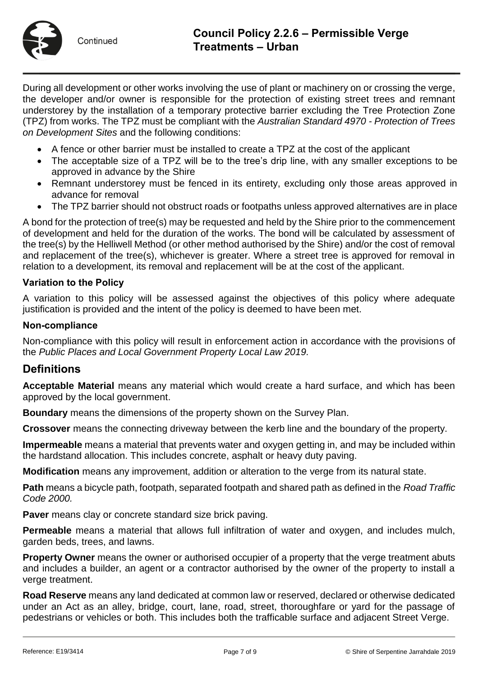

Continued

During all development or other works involving the use of plant or machinery on or crossing the verge, the developer and/or owner is responsible for the protection of existing street trees and remnant understorey by the installation of a temporary protective barrier excluding the Tree Protection Zone (TPZ) from works. The TPZ must be compliant with the *Australian Standard 4970 - Protection of Trees on Development Sites* and the following conditions:

- A fence or other barrier must be installed to create a TPZ at the cost of the applicant
- The acceptable size of a TPZ will be to the tree's drip line, with any smaller exceptions to be approved in advance by the Shire
- Remnant understorey must be fenced in its entirety, excluding only those areas approved in advance for removal
- The TPZ barrier should not obstruct roads or footpaths unless approved alternatives are in place

A bond for the protection of tree(s) may be requested and held by the Shire prior to the commencement of development and held for the duration of the works. The bond will be calculated by assessment of the tree(s) by the Helliwell Method (or other method authorised by the Shire) and/or the cost of removal and replacement of the tree(s), whichever is greater. Where a street tree is approved for removal in relation to a development, its removal and replacement will be at the cost of the applicant.

#### **Variation to the Policy**

A variation to this policy will be assessed against the objectives of this policy where adequate justification is provided and the intent of the policy is deemed to have been met.

#### **Non-compliance**

Non-compliance with this policy will result in enforcement action in accordance with the provisions of the *Public Places and Local Government Property Local Law 2019.* 

# **Definitions**

**Acceptable Material** means any material which would create a hard surface, and which has been approved by the local government.

**Boundary** means the dimensions of the property shown on the Survey Plan.

**Crossover** means the connecting driveway between the kerb line and the boundary of the property.

**Impermeable** means a material that prevents water and oxygen getting in, and may be included within the hardstand allocation. This includes concrete, asphalt or heavy duty paving.

**Modification** means any improvement, addition or alteration to the verge from its natural state.

**Path** means a bicycle path, footpath, separated footpath and shared path as defined in the *Road Traffic Code 2000.*

**Paver** means clay or concrete standard size brick paving.

**Permeable** means a material that allows full infiltration of water and oxygen, and includes mulch, garden beds, trees, and lawns.

**Property Owner** means the owner or authorised occupier of a property that the verge treatment abuts and includes a builder, an agent or a contractor authorised by the owner of the property to install a verge treatment.

**Road Reserve** means any land dedicated at common law or reserved, declared or otherwise dedicated under an Act as an alley, bridge, court, lane, road, street, thoroughfare or yard for the passage of pedestrians or vehicles or both. This includes both the trafficable surface and adjacent Street Verge.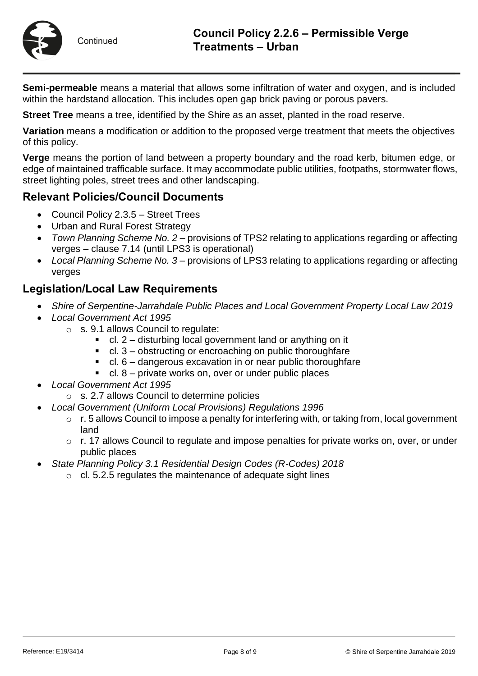

Continued

**Semi-permeable** means a material that allows some infiltration of water and oxygen, and is included within the hardstand allocation. This includes open gap brick paving or porous pavers.

**Street Tree** means a tree, identified by the Shire as an asset, planted in the road reserve.

**Variation** means a modification or addition to the proposed verge treatment that meets the objectives of this policy.

**Verge** means the portion of land between a property boundary and the road kerb, bitumen edge, or edge of maintained trafficable surface. It may accommodate public utilities, footpaths, stormwater flows, street lighting poles, street trees and other landscaping.

# **Relevant Policies/Council Documents**

- Council Policy 2.3.5 Street Trees
- Urban and Rural Forest Strategy
- *Town Planning Scheme No. 2* provisions of TPS2 relating to applications regarding or affecting verges – clause 7.14 (until LPS3 is operational)
- *Local Planning Scheme No. 3* provisions of LPS3 relating to applications regarding or affecting verges

# **Legislation/Local Law Requirements**

- *Shire of Serpentine-Jarrahdale Public Places and Local Government Property Local Law 2019*
- *Local Government Act 1995*
	- o s. 9.1 allows Council to regulate:
		- cl. 2 disturbing local government land or anything on it
		- $\blacksquare$  cl. 3 obstructing or encroaching on public thoroughfare
		- cl. 6 dangerous excavation in or near public thoroughfare
		- $\blacksquare$  cl. 8 private works on, over or under public places
- *Local Government Act 1995*
	- o s. 2.7 allows Council to determine policies
- *Local Government (Uniform Local Provisions) Regulations 1996* 
	- $\circ$  r. 5 allows Council to impose a penalty for interfering with, or taking from, local government land
	- $\circ$  r. 17 allows Council to regulate and impose penalties for private works on, over, or under public places
- *State Planning Policy 3.1 Residential Design Codes (R-Codes) 2018*
	- $\circ$  cl. 5.2.5 regulates the maintenance of adequate sight lines